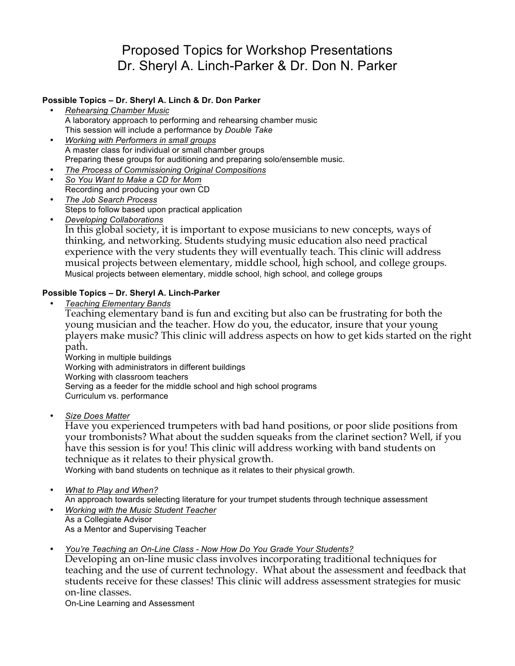# Proposed Topics for Workshop Presentations Dr. Sheryl A. Linch-Parker & Dr. Don N. Parker

## **Possible Topics – Dr. Sheryl A. Linch & Dr. Don Parker**

- *Rehearsing Chamber Music* A laboratory approach to performing and rehearsing chamber music This session will include a performance by *Double Take*
- *Working with Performers in small groups* A master class for individual or small chamber groups Preparing these groups for auditioning and preparing solo/ensemble music.
- *The Process of Commissioning Original Compositions*
- *So You Want to Make a CD for Mom* Recording and producing your own CD
- *The Job Search Process* Steps to follow based upon practical application
- *Developing Collaborations* In this global society, it is important to expose musicians to new concepts, ways of thinking, and networking. Students studying music education also need practical experience with the very students they will eventually teach. This clinic will address musical projects between elementary, middle school, high school, and college groups. Musical projects between elementary, middle school, high school, and college groups

## **Possible Topics – Dr. Sheryl A. Linch-Parker**

• *Teaching Elementary Bands*

Teaching elementary band is fun and exciting but also can be frustrating for both the young musician and the teacher. How do you, the educator, insure that your young players make music? This clinic will address aspects on how to get kids started on the right path.

Working in multiple buildings Working with administrators in different buildings Working with classroom teachers Serving as a feeder for the middle school and high school programs Curriculum vs. performance

• *Size Does Matter*

Have you experienced trumpeters with bad hand positions, or poor slide positions from your trombonists? What about the sudden squeaks from the clarinet section? Well, if you have this session is for you! This clinic will address working with band students on technique as it relates to their physical growth.

Working with band students on technique as it relates to their physical growth.

- *What to Play and When?*
- An approach towards selecting literature for your trumpet students through technique assessment
- *Working with the Music Student Teacher* As a Collegiate Advisor As a Mentor and Supervising Teacher
- *You're Teaching an On-Line Class - Now How Do You Grade Your Students?*

Developing an on-line music class involves incorporating traditional techniques for teaching and the use of current technology. What about the assessment and feedback that students receive for these classes! This clinic will address assessment strategies for music on-line classes.

On-Line Learning and Assessment